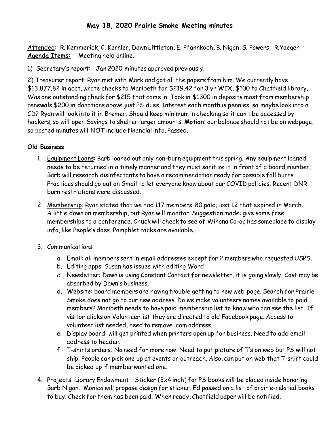## **May 18, 2020 Prairie Smoke Meeting minutes**

Attended: R. Kemmerick, C. Kernler, Dawn Littleton, E. Pfannkoch, B. Nigon, S. Powers, R.Yaeger **Agenda Items:** Meeting held online.

1) Secretary's report: Jan 2020 minutes approved previously.

2) Treasurer report: Ryan met with Mark and got all the papers from him. We currently have \$13,877.82 in acct, wrote checks to Maribeth for \$219.42 for 3 yr WIX, \$100 to Chatfield library. Was one outstanding check for \$215 that came in. Took in \$1300 in deposits most from membership renewals \$200 in donations above just PS dues. Interest each month is pennies, so maybe look into a CD? Ryan will look into it in Bremer. Should keep minimum in checking so it can't be accessed by hackers, so will open Savings to shelter larger amounts. **Motion**: our balance should not be on webpage, so posted minutes will NOT include financial info. Passed.

## **Old Business**

- 1. Equipment Loans: Barb loaned out only non-burn equipment this spring. Any equipment loaned needs to be returned in a timely manner and they must sanitize it in front of a board member. Barb will research disinfectants to have a recommendation ready for possible fall burns. Practices should go out on Gmail to let everyone know about our COVID policies. Recent DNR burn restrictions were discussed.
- 2. Membership: Ryan stated that we had 117 members, 80 paid; lost 12 that expired in March. A little down on membership, but Ryan will monitor. Suggestion made: give some free memberships to a conference. Chuck will check to see of Winona Co-op has someplace to display info, like People's does. Pamphlet racks are available.
- 3. Communications:
	- a. Email: all members sent in email addresses except for 2 members who requested USPS.
	- b. Editing apps: Susan has issues with editing Word
	- c. Newsletter: Dawn is using Constant Contact for newsletter, it is going slowly. Cost may be absorbed by Dawn's business.
	- d. Website: board members are having trouble getting to new web page. Search for Prairie Smoke does not go to our new address. Do we make volunteers names available to paid members? Maribeth needs to have paid membership list to know who can see the list. If visitor clicks on Volunteer list they are directed to old Facebook page. Access to volunteer list needed, need to remove .com address.
	- e. Display board: will get printed when printers open up for business. Need to add email address to header.
	- f. T-shirts orders: No need for more now. Need to put picture of T's on web but PS will not ship. People can pick one up at events or outreach. Also, can put on web that T-shirt could be picked up if member wanted one.
- 4. Projects: Library Endowment Sticker (3x4 inch) for PS books will be placed inside honoring Barb Nigon. Monica will propose design for sticker. Ed passed on a list of prairie-related books to buy. Check for them has been paid. When ready, Chatfield paper will be notified.